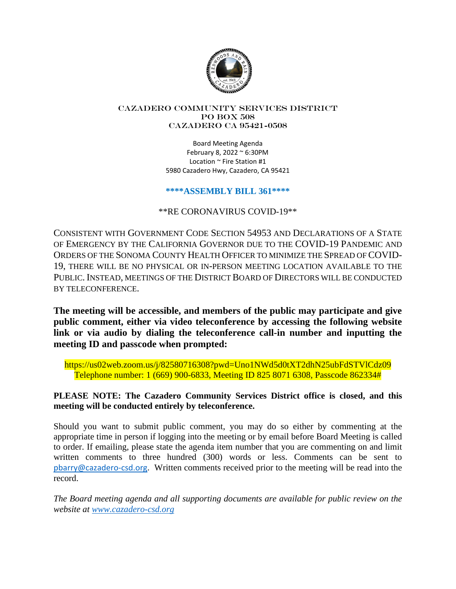

#### Cazadero Community Services District PO Box 508 CAZADERO CA 95421-0508

Board Meeting Agenda February 8, 2022 ~ 6:30PM Location ~ Fire Station #1 5980 Cazadero Hwy, Cazadero, CA 95421

### **\*\*\*\*ASSEMBLY BILL 361\*\*\*\***

\*\*RE CORONAVIRUS COVID-19\*\*

CONSISTENT WITH GOVERNMENT CODE SECTION 54953 AND DECLARATIONS OF A STATE OF EMERGENCY BY THE CALIFORNIA GOVERNOR DUE TO THE COVID-19 PANDEMIC AND ORDERS OF THE SONOMA COUNTY HEALTH OFFICER TO MINIMIZE THE SPREAD OF COVID-19, THERE WILL BE NO PHYSICAL OR IN-PERSON MEETING LOCATION AVAILABLE TO THE PUBLIC. INSTEAD, MEETINGS OF THE DISTRICT BOARD OF DIRECTORS WILL BE CONDUCTED BY TELECONFERENCE.

**The meeting will be accessible, and members of the public may participate and give public comment, either via video teleconference by accessing the following website link or via audio by dialing the teleconference call-in number and inputting the meeting ID and passcode when prompted:**

https://us02web.zoom.us/j/82580716308?pwd=Uno1NWd5d0tXT2dhN25ubFdSTVlCdz09 Telephone number: 1 (669) 900-6833, Meeting ID 825 8071 6308, Passcode 862334#

# **PLEASE NOTE: The Cazadero Community Services District office is closed, and this meeting will be conducted entirely by teleconference.**

Should you want to submit public comment, you may do so either by commenting at the appropriate time in person if logging into the meeting or by email before Board Meeting is called to order. If emailing, please state the agenda item number that you are commenting on and limit written comments to three hundred (300) words or less. Comments can be sent to pbarry@cazadero-csd.org. Written comments received prior to the meeting will be read into the record.

*The Board meeting agenda and all supporting documents are available for public review on the website at www.cazadero-csd.org*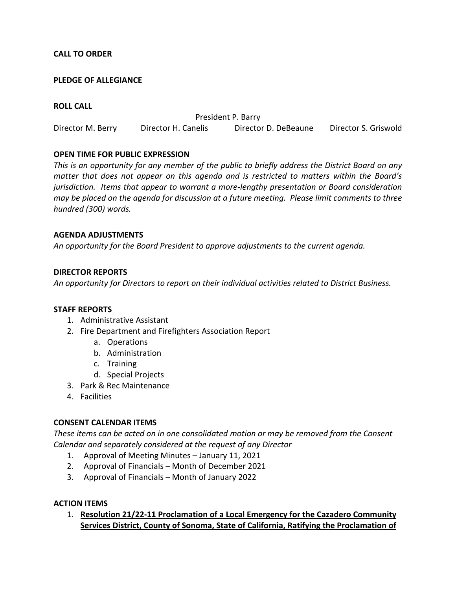### **CALL TO ORDER**

#### **PLEDGE OF ALLEGIANCE**

#### **ROLL CALL**

President P. Barry Director M. Berry Director H. Canelis Director D. DeBeaune Director S. Griswold

### **OPEN TIME FOR PUBLIC EXPRESSION**

*This is an opportunity for any member of the public to briefly address the District Board on any matter that does not appear on this agenda and is restricted to matters within the Board's jurisdiction. Items that appear to warrant a more-lengthy presentation or Board consideration may be placed on the agenda for discussion at a future meeting. Please limit comments to three hundred (300) words.* 

#### **AGENDA ADJUSTMENTS**

*An opportunity for the Board President to approve adjustments to the current agenda.* 

### **DIRECTOR REPORTS**

*An opportunity for Directors to report on their individual activities related to District Business.* 

#### **STAFF REPORTS**

- 1. Administrative Assistant
- 2. Fire Department and Firefighters Association Report
	- a. Operations
	- b. Administration
	- c. Training
	- d. Special Projects
- 3. Park & Rec Maintenance
- 4. Facilities

#### **CONSENT CALENDAR ITEMS**

*These items can be acted on in one consolidated motion or may be removed from the Consent Calendar and separately considered at the request of any Director* 

- 1. Approval of Meeting Minutes January 11, 2021
- 2. Approval of Financials Month of December 2021
- 3. Approval of Financials Month of January 2022

#### **ACTION ITEMS**

1. **Resolution 21/22-11 Proclamation of a Local Emergency for the Cazadero Community Services District, County of Sonoma, State of California, Ratifying the Proclamation of**